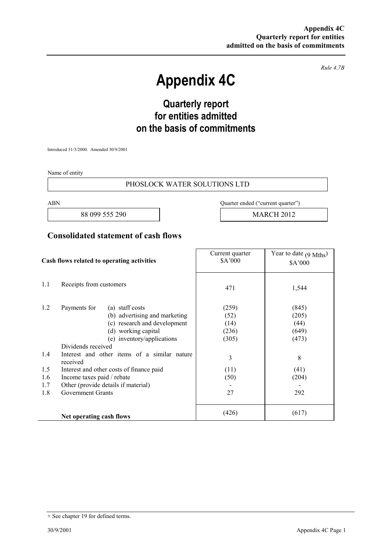*Rule 4.7B* 

# **Appendix 4C**

# **Quarterly report for entities admitted on the basis of commitments**

Introduced 31/3/2000. Amended 30/9/2001

Name of entity

#### PHOSLOCK WATER SOLUTIONS LTD

88 099 555 290 **MARCH 2012** 

ABN Quarter ended ("current quarter")

### **Consolidated statement of cash flows**

| Cash flows related to operating activities |                                                                                                                                                                                                                                                                                     | Current quarter<br>\$A'000                           | Year to date $(9 \text{ Mths})$<br>\$A'000            |
|--------------------------------------------|-------------------------------------------------------------------------------------------------------------------------------------------------------------------------------------------------------------------------------------------------------------------------------------|------------------------------------------------------|-------------------------------------------------------|
| 1.1                                        | Receipts from customers                                                                                                                                                                                                                                                             | 471                                                  | 1,544                                                 |
| 1.2<br>1.4<br>1.5                          | Payments for<br>(a) staff costs<br>(b) advertising and marketing<br>(c) research and development<br>(d) working capital<br>(e) inventory/applications<br>Dividends received<br>Interest and other items of a similar nature<br>received<br>Interest and other costs of finance paid | (259)<br>(52)<br>(14)<br>(236)<br>(305)<br>3<br>(11) | (845)<br>(205)<br>(44)<br>(649)<br>(473)<br>8<br>(41) |
| 1.6<br>1.7                                 | Income taxes paid / rebate<br>Other (provide details if material)                                                                                                                                                                                                                   | (50)                                                 | (204)                                                 |
| 1.8                                        | <b>Government Grants</b>                                                                                                                                                                                                                                                            | 27                                                   | 292                                                   |
|                                            | Net operating cash flows                                                                                                                                                                                                                                                            | (426)                                                | (617)                                                 |

<sup>+</sup> See chapter 19 for defined terms.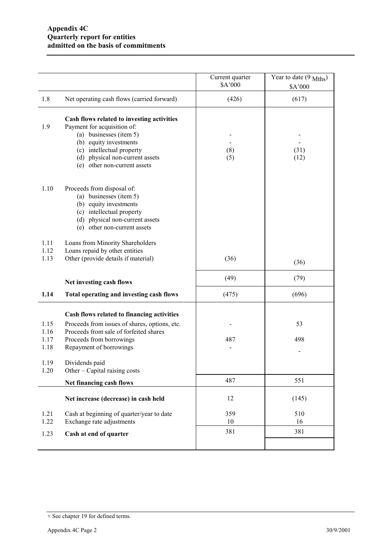|              |                                                                                                                                                                                                                                | Current quarter<br>\$A'000 | Year to date $(9 \text{ Mths})$<br>\$A'000 |
|--------------|--------------------------------------------------------------------------------------------------------------------------------------------------------------------------------------------------------------------------------|----------------------------|--------------------------------------------|
| 1.8          | Net operating cash flows (carried forward)                                                                                                                                                                                     | (426)                      | (617)                                      |
| 1.9          | Cash flows related to investing activities<br>Payment for acquisition of:<br>(a) businesses (item 5)<br>(b) equity investments<br>(c) intellectual property<br>(d) physical non-current assets<br>(e) other non-current assets | (8)<br>(5)                 | (31)<br>(12)                               |
| 1.10         | Proceeds from disposal of:<br>(a) businesses (item 5)<br>(b) equity investments<br>(c) intellectual property<br>(d) physical non-current assets<br>(e) other non-current assets                                                |                            |                                            |
| 1.11         | Loans from Minority Shareholders                                                                                                                                                                                               |                            |                                            |
| 1.12         | Loans repaid by other entities                                                                                                                                                                                                 |                            |                                            |
| 1.13         | Other (provide details if material)                                                                                                                                                                                            | (36)                       | (36)                                       |
|              | Net investing cash flows                                                                                                                                                                                                       | (49)                       | (79)                                       |
| 1.14         | Total operating and investing cash flows                                                                                                                                                                                       | (475)                      | (696)                                      |
|              | Cash flows related to financing activities                                                                                                                                                                                     |                            |                                            |
| 1.15         | Proceeds from issues of shares, options, etc.                                                                                                                                                                                  |                            | 53                                         |
| 1.16<br>1.17 | Proceeds from sale of forfeited shares<br>Proceeds from borrowings                                                                                                                                                             | 487                        | 498                                        |
| 1.18         | Repayment of borrowings                                                                                                                                                                                                        |                            |                                            |
| 1.19<br>1.20 | Dividends paid<br>Other – Capital raising costs                                                                                                                                                                                |                            |                                            |
|              | Net financing cash flows                                                                                                                                                                                                       | 487                        | 551                                        |
|              | Net increase (decrease) in cash held                                                                                                                                                                                           | 12                         | (145)                                      |
| 1.21         | Cash at beginning of quarter/year to date                                                                                                                                                                                      | 359                        | 510                                        |
| 1.22         | Exchange rate adjustments                                                                                                                                                                                                      | 10                         | 16                                         |
| 1.23         | Cash at end of quarter                                                                                                                                                                                                         | 381                        | 381                                        |
|              |                                                                                                                                                                                                                                |                            |                                            |

<sup>+</sup> See chapter 19 for defined terms.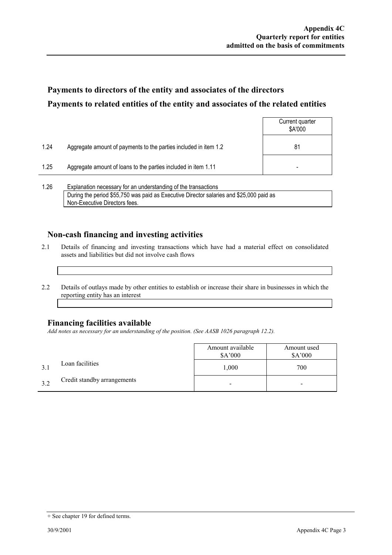## **Payments to directors of the entity and associates of the directors Payments to related entities of the entity and associates of the related entities**

|      |                                                                  | Current quarter<br>\$A'000 |
|------|------------------------------------------------------------------|----------------------------|
| 1.24 | Aggregate amount of payments to the parties included in item 1.2 | 81                         |
| 1.25 | Aggregate amount of loans to the parties included in item 1.11   | -                          |
|      |                                                                  |                            |

1.26 Explanation necessary for an understanding of the transactions During the period \$55,750 was paid as Executive Director salaries and \$25,000 paid as Non-Executive Directors fees.

### **Non-cash financing and investing activities**

- 2.1 Details of financing and investing transactions which have had a material effect on consolidated assets and liabilities but did not involve cash flows
- 2.2 Details of outlays made by other entities to establish or increase their share in businesses in which the reporting entity has an interest

#### **Financing facilities available**

*Add notes as necessary for an understanding of the position. (See AASB 1026 paragraph 12.2).* 

|    |                             | Amount available<br>\$A'000 | Amount used<br>\$A'000 |
|----|-----------------------------|-----------------------------|------------------------|
|    | Loan facilities             | 1,000                       | 700                    |
| 39 | Credit standby arrangements | $\overline{\phantom{0}}$    | ٠                      |

<sup>+</sup> See chapter 19 for defined terms.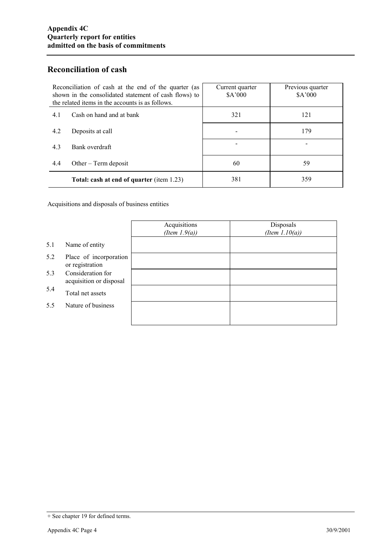### **Reconciliation of cash**

| Reconciliation of cash at the end of the quarter (as<br>shown in the consolidated statement of cash flows) to<br>the related items in the accounts is as follows. | Current quarter<br>\$A'000 | Previous quarter<br>\$A'000 |
|-------------------------------------------------------------------------------------------------------------------------------------------------------------------|----------------------------|-----------------------------|
| Cash on hand and at bank<br>4.1                                                                                                                                   | 321                        | 121                         |
| 4.2<br>Deposits at call                                                                                                                                           |                            | 179                         |
| 4.3<br>Bank overdraft                                                                                                                                             |                            |                             |
| 4.4<br>Other $-$ Term deposit                                                                                                                                     | 60                         | 59                          |
| Total: cash at end of quarter (item 1.23)                                                                                                                         | 381                        | 359                         |

Acquisitions and disposals of business entities

|     |                                              | Acquisitions<br>(Item $1.9(a)$ ) | Disposals<br>(Item $1.10(a)$ ) |
|-----|----------------------------------------------|----------------------------------|--------------------------------|
| 5.1 | Name of entity                               |                                  |                                |
| 5.2 | Place of incorporation<br>or registration    |                                  |                                |
| 5.3 | Consideration for<br>acquisition or disposal |                                  |                                |
| 5.4 | Total net assets                             |                                  |                                |
| 5.5 | Nature of business                           |                                  |                                |
|     |                                              |                                  |                                |

<sup>+</sup> See chapter 19 for defined terms.